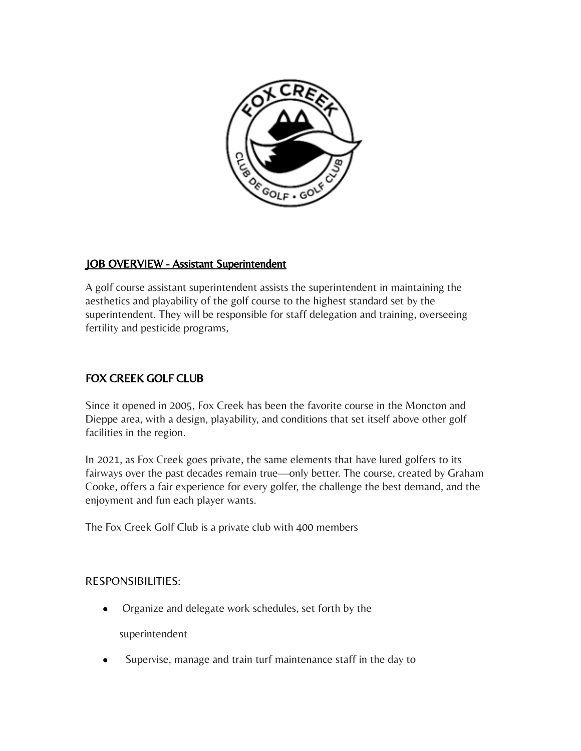

## JOB OVERVIEW - Assistant Superintendent

A golf course assistant superintendent assists the superintendent in maintaining the aesthetics and playability of the golf course to the highest standard set by the superintendent. They will be responsible for staff delegation and training, overseeing fertility and pesticide programs,

## FOX CREEK GOLF CLUB

Since it opened in 2005, Fox Creek has been the favorite course in the Moncton and Dieppe area, with a design, playability, and conditions that set itself above other golf facilities in the region.

In 2021, as Fox Creek goes private, the same elements that have lured golfers to its fairways over the past decades remain true—only better. The course, created by Graham Cooke, offers a fair experience for every golfer, the challenge the best demand, and the enjoyment and fun each player wants.

The Fox Creek Golf Club is a private club with 400 members

## RESPONSIBILITIES:

- Organize and delegate work schedules, set forth by the superintendent
- Supervise, manage and train turf maintenance staff in the day to